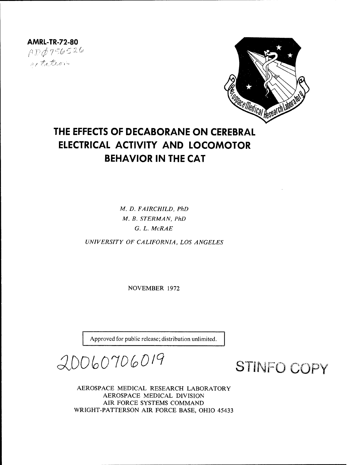AMRL-TR-72-80<br> $\not\vdash D \not\!\phi$ 756526 metation



# THE **EFFECTS** OF **DECABORANE ON** CEREBRAL ELECTRICAL ACTIVITY **AND** LOCOMOTOR BEHAVIOR **IN** THE **CAT**

*M. D. FAIRCHILD, PhD M. B. STERMAN, PhD G. L. McRAE*

*UNIVERSITY OF CALIFORNIA, LOS ANGELES*

NOVEMBER 1972

Approved for public release; distribution unlimited.

20060706019

**STINFO COPY** 

AEROSPACE MEDICAL RESEARCH LABORATORY AEROSPACE MEDICAL DIVISION AIR FORCE SYSTEMS COMMAND WRIGHT-PATTERSON AIR FORCE BASE, OHIO 45433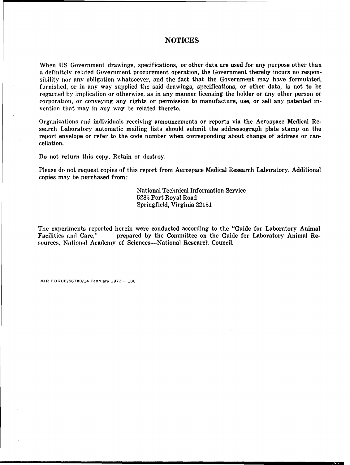## **NOTICES**

When US Government drawings, specifications, or other data are used for any purpose other than a definitely related Government procurement operation, the Government thereby incurs no responsibility nor any obligation whatsoever, and the fact that the Government may have formulated, furnished, or in any way supplied the said drawings, specifications, or other data, is not to be regarded by implication or otherwise, as in any manner licensing the holder or any other person or corporation, or conveying any rights or permission to manufacture, use, or sell any patented invention that may in any way be related thereto.

Organizations and individuals receiving announcements or reports via the Aerospace Medical Research Laboratory automatic mailing lists should submit the addressograph plate stamp on the report envelope or refer to the code number when corresponding about change of address or cancellation.

Do not return this copy. Retain or destroy.

Please do not request copies of this report from Aerospace Medical Research Laboratory. Additional copies may be purchased from:

> National Technical Information Service 5285 Port Royal Road Springfield, Virginia 22151

The experiments reported herein were conducted according to the "Guide for Laboratory Animal Facilities and Care," prepared by the Committee on the Guide for Laboratory Animal Resources, National Academy of Sciences-National Research Council.

AIR FORCE/56780/14 February 1973-- 100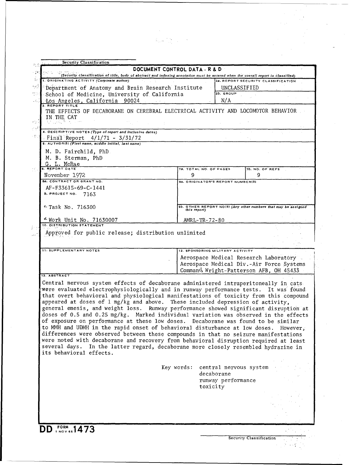| Security Classification                                                                                                                                                                                                                                                                                                                                                                                                                                                                                                                                                                                                                                                                                                                                                                                                                                                                                                                                                                                           | DOCUMENT CONTROL DATA - R & D                      |                                                                                |                                                                                                                             |  |  |  |
|-------------------------------------------------------------------------------------------------------------------------------------------------------------------------------------------------------------------------------------------------------------------------------------------------------------------------------------------------------------------------------------------------------------------------------------------------------------------------------------------------------------------------------------------------------------------------------------------------------------------------------------------------------------------------------------------------------------------------------------------------------------------------------------------------------------------------------------------------------------------------------------------------------------------------------------------------------------------------------------------------------------------|----------------------------------------------------|--------------------------------------------------------------------------------|-----------------------------------------------------------------------------------------------------------------------------|--|--|--|
| (Security classification of title, body of abstract and indexing annotation must be entered when the overall report is classified)<br>I. ORIGINATING ACTIVITY (Corporate author)                                                                                                                                                                                                                                                                                                                                                                                                                                                                                                                                                                                                                                                                                                                                                                                                                                  |                                                    |                                                                                | 28. REPORT SECURITY CLASSIFICATION                                                                                          |  |  |  |
|                                                                                                                                                                                                                                                                                                                                                                                                                                                                                                                                                                                                                                                                                                                                                                                                                                                                                                                                                                                                                   | Department of Anatomy and Brain Research Institute |                                                                                | UNCLASSIFIED                                                                                                                |  |  |  |
| School of Medicine, University of California                                                                                                                                                                                                                                                                                                                                                                                                                                                                                                                                                                                                                                                                                                                                                                                                                                                                                                                                                                      |                                                    | 2b. GROUP                                                                      |                                                                                                                             |  |  |  |
| Los Angeles, California 90024<br><b>REPORT TITLE</b>                                                                                                                                                                                                                                                                                                                                                                                                                                                                                                                                                                                                                                                                                                                                                                                                                                                                                                                                                              |                                                    | N/A                                                                            |                                                                                                                             |  |  |  |
| THE EFFECTS OF DECABORANE ON CEREBRAL ELECTRICAL ACTIVITY AND LOCOMOTOR BEHAVIOR<br>IN THE CAT<br>10月 一次近日                                                                                                                                                                                                                                                                                                                                                                                                                                                                                                                                                                                                                                                                                                                                                                                                                                                                                                        |                                                    |                                                                                |                                                                                                                             |  |  |  |
| 4. DESCRIPTIVE NOTES (Type of report and inclusive dates)                                                                                                                                                                                                                                                                                                                                                                                                                                                                                                                                                                                                                                                                                                                                                                                                                                                                                                                                                         |                                                    |                                                                                |                                                                                                                             |  |  |  |
| $Final Report 4/1/71 - 3/31/72$<br>5. AUTHOR(S) (First name, middle initial, last name)                                                                                                                                                                                                                                                                                                                                                                                                                                                                                                                                                                                                                                                                                                                                                                                                                                                                                                                           |                                                    |                                                                                |                                                                                                                             |  |  |  |
| M. D. Fairchild, PhD<br>M. B. Sterman, PhD<br><u>G. L. McRae</u>                                                                                                                                                                                                                                                                                                                                                                                                                                                                                                                                                                                                                                                                                                                                                                                                                                                                                                                                                  |                                                    |                                                                                |                                                                                                                             |  |  |  |
| 6. REPORT DATE                                                                                                                                                                                                                                                                                                                                                                                                                                                                                                                                                                                                                                                                                                                                                                                                                                                                                                                                                                                                    |                                                    | 78. TOTAL NO. OF PAGES<br>7b. NO. OF REFS                                      |                                                                                                                             |  |  |  |
| November 1972<br><b>88. CONTRACT OR GRANT NO.</b>                                                                                                                                                                                                                                                                                                                                                                                                                                                                                                                                                                                                                                                                                                                                                                                                                                                                                                                                                                 | 9                                                  | 98. ORIGINATOR'S REPORT NUMBER(S)                                              | 9                                                                                                                           |  |  |  |
| AF-F33615-69-C-1441<br>$b.$ PROJECT NO. $7163$                                                                                                                                                                                                                                                                                                                                                                                                                                                                                                                                                                                                                                                                                                                                                                                                                                                                                                                                                                    |                                                    |                                                                                |                                                                                                                             |  |  |  |
| <sup>c.</sup> Task No. 716300                                                                                                                                                                                                                                                                                                                                                                                                                                                                                                                                                                                                                                                                                                                                                                                                                                                                                                                                                                                     |                                                    | 9b. OTHER REPORT NO(S) (Any other numbers that may be assigned<br>this report) |                                                                                                                             |  |  |  |
| d. Work Unit No. 71630007                                                                                                                                                                                                                                                                                                                                                                                                                                                                                                                                                                                                                                                                                                                                                                                                                                                                                                                                                                                         |                                                    | AMRL-TR-72-80                                                                  |                                                                                                                             |  |  |  |
| Approved for public release; distribution unlimited                                                                                                                                                                                                                                                                                                                                                                                                                                                                                                                                                                                                                                                                                                                                                                                                                                                                                                                                                               |                                                    |                                                                                |                                                                                                                             |  |  |  |
| <b>11. SUPPLEMENTARY NOTES</b>                                                                                                                                                                                                                                                                                                                                                                                                                                                                                                                                                                                                                                                                                                                                                                                                                                                                                                                                                                                    |                                                    | 12. SPONSORING MILITARY ACTIVITY                                               |                                                                                                                             |  |  |  |
|                                                                                                                                                                                                                                                                                                                                                                                                                                                                                                                                                                                                                                                                                                                                                                                                                                                                                                                                                                                                                   |                                                    |                                                                                |                                                                                                                             |  |  |  |
| 13. ABSTRACT                                                                                                                                                                                                                                                                                                                                                                                                                                                                                                                                                                                                                                                                                                                                                                                                                                                                                                                                                                                                      |                                                    |                                                                                | Aerospace Medical Research Laboratory<br>Aerospace Medical Div.-Air Force Systems<br>Command Wright-Patterson AFB, OH 45433 |  |  |  |
| Central nervous system effects of decaborane administered intraperitoneally in cats<br>were evaluated electrophysiologically and in runway performance tests. It was found<br>that overt behavioral and physiological manifestations of toxicity from this compound<br>appeared at doses of 1 mg/kg and above. These included depression of activity,<br>general emesis, and weight loss. Runway performance showed significant disruption at<br>doses of 0.5 and 0.25 mg/kg. Marked individual variation was observed in the effects<br>of exposure on performance at these low doses. Decaborane was found to be similar<br>to MMH and UDMH in the rapid onset of behavioral disturbance at low doses. However,<br>differences were observed between these compounds in that no seizure manifestations<br>were noted with decaborane and recovery from behavioral disruption required at least<br>several days. In the latter regard, decaborane more closely resembled hydrazine in<br>its behavioral effects. |                                                    |                                                                                |                                                                                                                             |  |  |  |
|                                                                                                                                                                                                                                                                                                                                                                                                                                                                                                                                                                                                                                                                                                                                                                                                                                                                                                                                                                                                                   | Key words: central nervous system                  | decaborane<br>runway performance                                               |                                                                                                                             |  |  |  |
|                                                                                                                                                                                                                                                                                                                                                                                                                                                                                                                                                                                                                                                                                                                                                                                                                                                                                                                                                                                                                   |                                                    | toxicity                                                                       |                                                                                                                             |  |  |  |
| <b>DD</b> FORM <sub>5</sub> , 1473                                                                                                                                                                                                                                                                                                                                                                                                                                                                                                                                                                                                                                                                                                                                                                                                                                                                                                                                                                                |                                                    |                                                                                |                                                                                                                             |  |  |  |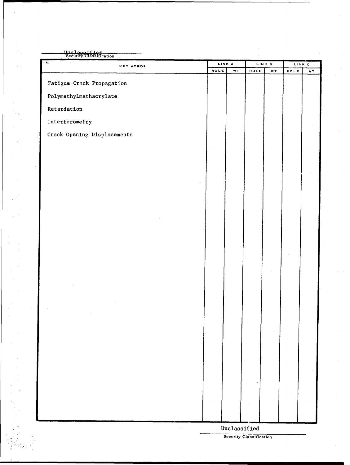| Unclassifief<br>Security Classification |                |     |                       |               |      |                   |
|-----------------------------------------|----------------|-----|-----------------------|---------------|------|-------------------|
| 14.<br><b>KEY WORDS</b>                 | LINK A<br>ROLE | W T | ROLE                  | LINK B<br>W T | ROLE | LINK <sub>C</sub> |
|                                         |                |     |                       |               |      | $\mathbf{W}$ T    |
| Fatigue Crack Propagation               |                |     |                       |               |      |                   |
| $\verb Polymethylmethacrylate $         |                |     |                       |               |      |                   |
| Retardation                             |                |     |                       |               |      |                   |
| Interferometry                          |                |     |                       |               |      |                   |
| Crack Opening Displacements             |                |     |                       |               |      |                   |
|                                         |                |     |                       |               |      |                   |
|                                         |                |     |                       |               |      |                   |
|                                         |                |     |                       |               |      |                   |
|                                         |                |     |                       |               |      |                   |
|                                         |                |     |                       |               |      |                   |
|                                         |                |     |                       |               |      |                   |
|                                         |                |     |                       |               |      |                   |
|                                         |                |     |                       |               |      |                   |
|                                         |                |     |                       |               |      |                   |
|                                         |                |     |                       |               |      |                   |
|                                         |                |     |                       |               |      |                   |
|                                         |                |     |                       |               |      |                   |
|                                         |                |     |                       |               |      |                   |
|                                         |                |     |                       |               |      |                   |
|                                         |                |     |                       |               |      |                   |
|                                         |                |     |                       |               |      |                   |
|                                         |                |     |                       |               |      |                   |
|                                         |                |     |                       |               |      |                   |
|                                         |                |     |                       |               |      |                   |
|                                         |                |     |                       |               |      |                   |
|                                         |                |     |                       |               |      |                   |
|                                         |                |     |                       |               |      |                   |
|                                         |                |     |                       |               |      |                   |
|                                         |                |     |                       |               |      |                   |
|                                         |                |     |                       |               |      |                   |
| $\epsilon$                              |                |     | $\verb+Unclassified+$ |               |      |                   |

 $\sim$   $\alpha$ 

 $\frac{1}{2} \leq 2$  $\frac{1}{2}$ 

终 

Security Classification

 $\mathcal{L}$ 

 $\epsilon = \epsilon$  .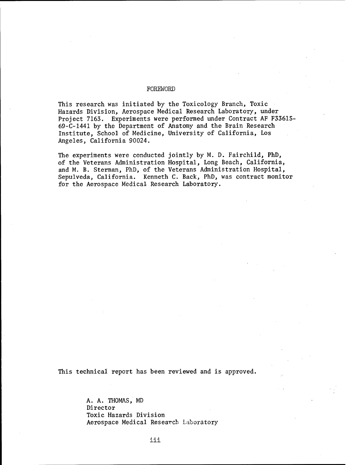## FOREWORD

This research was initiated by the Toxicology Branch, Toxic Hazards Division, Aerospace Medical Research Laboratory, under Project 7163. Experiments were performed under Contract **AF** F33615- 69-C-1441 by the Department of Anatomy and the Brain Research Institute, School of Medicine, University of California, Los Angeles, California 90024.

The experiments were conducted jointly by M. D. Fairchild, PhD, of the Veterans Administration Hospital, Long Beach, California, and M. B. Sterman, PhD, of the Veterans Administration Hospital, Sepulveda, California. Kenneth C. Back, PhD, was contract monitor for the Aerospace Medical Research Laboratory.

This technical report has been reviewed and is approved.

A. A. THOMAS, MD Director Toxic Hazards Division Aerospace Medical Research Laboratory

iii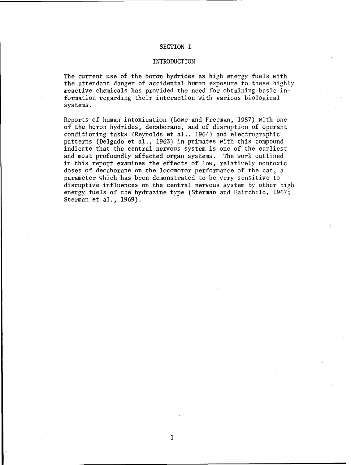## SECTION I

## INTRODUCTION

The current use of the boron hydrides as high energy fuels with the attendant danger of accidental human exposure to these highly reactive chemicals has provided the need for obtaining basic information regarding their interaction with various biological systems.

Reports of human intoxication (Lowe and Freeman, 1957) with one of the boron hydrides, decaborane, and of disruption of operant conditioning tasks (Reynolds et al., 1964) and electrographic patterns (Delgado et al., 1963) in primates with this compound indicate that the central nervous system is one of the earliest and most profoundly affected organ systems. The work outlined in this report examines the effects of low, relatively nontoxic doses of decaborane on the locomotor performance of the cat, a parameter which has been demonstrated to be very sensitive to disruptive influences on the central nervous system by other high energy fuels of the hydrazine type (Sterman and Fairchild, 1967; Sterman et al., 1969).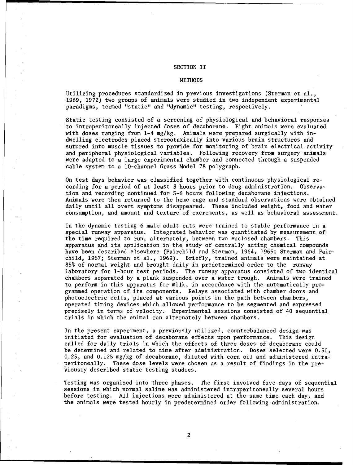## SECTION II

#### **METHODS**

Utilizing procedures standardized in previous investigations (Sterman et al., 1969, 1972) two groups of animals were studied in two independent experimental paradigms, termed "static" and "dynamic" testing, respectively.

Static testing consisted of a screening of physiological and behavioral responses to intraperitoneally injected doses of decaborane. Eight animals were evaluated with doses ranging from 1-4 mg/kg. Animals were prepared surgically with indwelling electrodes placed stereotaxically into various brain structures and sutured into muscle tissues to provide for monitoring of brain electrical activity and peripheral physiological variables. Following recovery from surgery animals were adapted to a large experimental chamber and connected through a suspended cable system to a 10-channel Grass Model 78 polygraph.

On test days behavior was classified together with continuous physiological recording for a period of at least 3 hours prior to drug administration. Observation and recording continued for 5-6 hours following decaborane injections. Animals were then returned to the home cage and standard observations were obtained daily until all overt symptoms disappeared. These included weight, food and water consumption, and amount and texture of excrements, as well as behavioral assessment.

In the dynamic testing 6 male adult cats were trained to stable performance in a special runway apparatus. Integrated behavior was quantitated by measurement of the time required to run, alternately, between two enclosed chambers. This apparatus and its application in the study of centrally acting chemical compounds have been described elsewhere (Fairchild and Sterman, 1964, 1965; Sterman and Fairchild, 1967; Sterman et al., 1969). Briefly, trained animals were maintained at 85% of normal weight and brought daily in predetermined order to the runway laboratory for 1-hour test periods. The runway apparatus consisted of two identical chambers separated by a plank suspended over a water trough. Animals were trained to perform in this apparatus for milk, in accordance with the automatically programmed operation of its components. Relays associated with chamber doors and photoelectric cells, placed at various points in the path between chambers, operated timing devices which allowed performance to be segmented and expressed precisely in terms of velocity. Experimental sessions consisted of 40 sequential trials in which the animal ran alternately between chambers.

In the present experiment, a previously utilized, counterbalanced design was initiated for evaluation of decaborane effects upon performance. This design called for daily trials in which the effects of three doses of decaborane could be determined and related to time after administration. Doses selected were 0.50, 0.25, and 0.12S mg/kg of decaborane, diluted with corn oil and administered intraperitoneally. These dose levels were chosen as a result of findings in the previously described static testing studies.

Testing was organized into three phases. The first involved five days of sequential sessions in which normal saline was administered intraperitoneally several hours before testing. All injections were administered at the same time each day, and the animals were tested hourly in predetermined order following administration.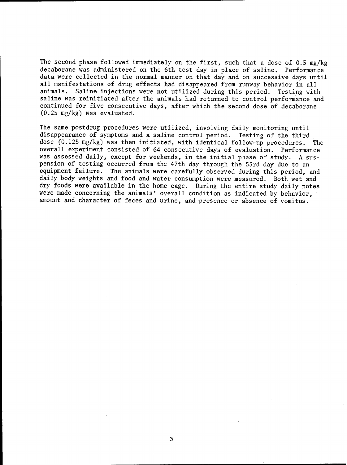The second phase followed immediately on the first, such that a dose of 0.5 mg/kg decaborane was administered on the 6th test day in place of saline. Performance data were collected in the normal manner on that day and on successive days until all manifestations of drug effects had disappeared from runway behavior in all animals. Saline injections were not utilized during this period. Testing with saline was reinitiated after the animals had returned to control performance and continued for five consecutive days, after which the second dose of decaborane (0.25 mg/kg) was evaluated.

The same postdrug procedures were utilized, involving daily monitoring until disappearance of symptoms and a saline control period. Testing of the third dose (0.125 mg/kg) was then initiated, with identical follow-up procedures. The overall experiment consisted of 64 consecutive days of evaluation. Performance was assessed daily, except for weekends, in the initial phase of study. A suspension of testing occurred from the 47th day through the 53rd day due to an equipment failure. The animals were carefully observed during this period, and daily body weights and food and water consumption were measured. Both wet and dry foods were available in the home cage. During the entire study daily notes were made concerning the animals' overall condition as indicated by behavior, amount and character of feces and urine, and presence or absence of vomitus.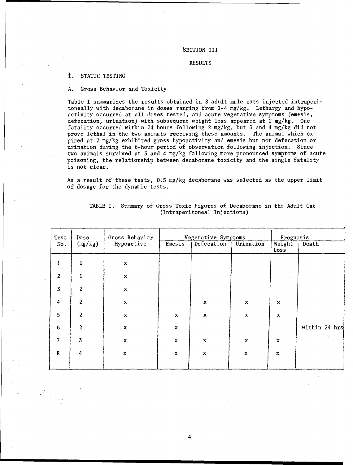## SECTION III

## RESULTS

## t. STATIC TESTING

## A. Gross Behavior and Toxicity

Table I summarizes the results obtained in 8 adult male cats injected intraperitoneally with decaborane in doses ranging from 1-4 mg/kg. Lethargy and hypoactivity occurred at all doses tested, and acute vegetative symptoms (emesis, defecation, urination) with subsequent weight loss appeared at 2 mg/kg. One fatality occurred within 24 hours following 2 mg/kg, but 3 and 4 mg/kg did not prove lethal in the two animals receiving these amounts. The animal which expired at 2 mg/kg exhibited gross hypoactivity and emesis but not defecation or urination during the 6-hour period of observation following injection. Since two animals survived at 3 and 4 mg/kg following more pronounced symptoms of acute poisoning, the relationship between decaborane toxicity and the single fatality is not clear.

As a result of these tests, **0.5** mg/kg decaborane was selected as the upper limit of dosage for the dynamic tests.

| Test                    | Dose                    | Gross Behavior | Vegetative Symptoms |             |                           | Prognosis                 |               |  |
|-------------------------|-------------------------|----------------|---------------------|-------------|---------------------------|---------------------------|---------------|--|
| No.                     | (mg/kg)                 | Hypoactive     | Emesis              | Defecation  | Urination                 | Weight<br>Loss            | Death         |  |
| $\mathbf{1}$            |                         | $\mathbf x$    |                     |             |                           |                           |               |  |
| $\overline{c}$          |                         | $\mathbf x$    |                     |             |                           |                           |               |  |
| $\overline{\mathbf{3}}$ | 2                       | $\mathbf x$    |                     |             |                           |                           |               |  |
| $\overline{\mathbf{4}}$ | $\overline{c}$          | $\mathbf x$    |                     | $\mathbf x$ | $\cdot$ X                 | $\mathbf x$               |               |  |
| 5 <sub>1</sub>          | $\overline{c}$          | $\mathbf x$    | x                   | $\mathbf x$ | $\mathbf x$               | $\mathbf x$               |               |  |
| $6\phantom{a}$          | 2                       | $\mathbf x$    | $\mathbf x$         |             |                           |                           | within 24 hrs |  |
| 7                       | $\overline{\mathbf{3}}$ | $\mathbf x$    | $\mathbf x$         | $\mathbf x$ | $\mathbf x$               | $\mathbf x$               |               |  |
| $\bf 8$                 | 4                       | $\mathbf x$    | $\mathbf x$         | $\mathbf x$ | $\boldsymbol{\mathsf{x}}$ | $\boldsymbol{\mathsf{x}}$ |               |  |
|                         |                         |                |                     |             |                           |                           |               |  |

## TABLE I. Summary of Gross Toxic Figures of Decaborane in the Adult Cat (Intraperitoneal Injections)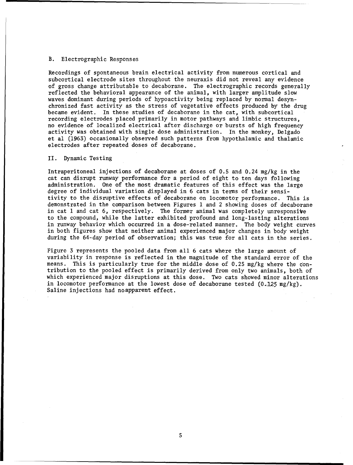## B. Electrographic Responses

Recordings of spontaneous brain electrical activity from numerous cortical and subcortical electrode sites throughout the neuraxis did not reveal any evidence of gross change attributable to decaborane. The electrographic records generally reflected the behavioral appearance of the animal, with larger amplitude slow waves dominant during periods of hypoactivity being replaced by normal desynchronized fast activity as the stress of vegetative effects produced by the drug became evident. In these studies of decaborane in the cat, with subcortical recording electrodes placed primarily in motor pathways and limbic structures, no evidence of localized electrical after discharge or bursts of high frequency activity was obtained with single dose administration. In the monkey, Delgado et al (1963) occasionally observed such patterns from hypothalamic and thalamic electrodes after repeated doses of decaborane.

#### II. Dynamic Testing

Intraperitoneal injections of decaborane at doses of 0.5 and 0.24 mg/kg in the cat can disrupt runway performance for a period of eight to ten days following administration. One of the most dramatic features of this effect was the large degree of individual variation displayed in 6 cats in terms of their sensitivity to the disruptive effects of decaborane on locomotor performance. This is demonstrated in the comparison between Figures **I** and 2 showing doses of decaborane in cat 1 and cat 6, respectively. The former animal was completely unresponsive to the compound, while the latter exhibited profound and long-lasting alterations in runway behavior which occurred in a dose-related manner. The body weight curves in both figures show that neither animal experienced major changes in body weight during the 64-day period of observation; this was true for all cats in the series.

Figure 3 represents the pooled data from all 6 cats where the large amount of variability in response is reflected in the magnitude of the standard error of the means. This is particularly true for the middle dose of 0.25 mg/kg where the contribution to the pooled effect is primarily derived from only two animals, both of which experienced major disruptions at this dose. Two cats showed minor alterations in locomotor performance at the lowest dose of decaborane tested  $(0.125 \text{ mg/kg})$ . Saline injections had noapparent effect.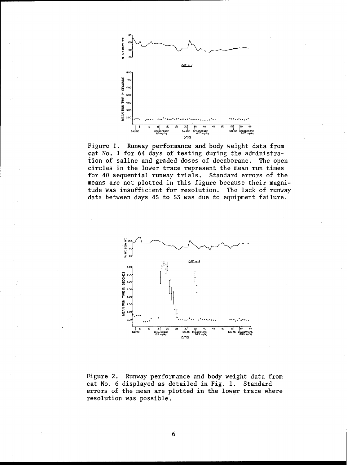

Figure **1.** Runway performance and body weight data from cat No. 1 for 64 days of testing during the administration of saline and graded doses of decaborane. The open circles in the lower trace represent the mean run times for 40 sequential runway trials. Standard errors of the means are not plotted in this figure because their magnitude was insufficient for resolution. The lack of runway data between days 45 to 53 was due to equipment failure.



Figure 2. Runway performance and body weight data from cat No. 6 displayed as detailed in Fig. **1.** Standard errors of the mean are plotted in the lower trace where resolution was possible.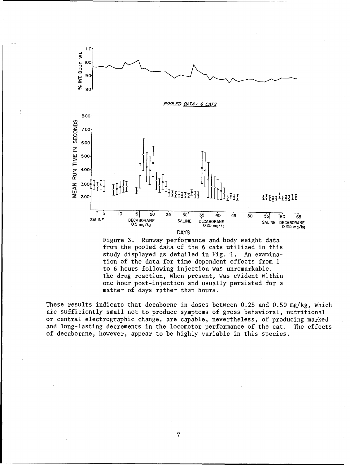

Figure 3. Runway performance and body weight data from the pooled data of the 6 cats utilized in this study displayed as detailed in Fig. **1.** An examination of the data for time-dependent effects from 1 to 6 hours following injection was unremarkable. The drug reaction, when present, was evident within one hour post-injection and usually persisted for a matter of days rather than hours.

These results indicate that decaborne in doses between 0.25 and 0.50 mg/kg, which are sufficiently small not to produce symptoms of gross behavioral, nutritional or central electrographic change, are capable, nevertheless, of producing marked and long-lasting decrements in the locomotor performance of the cat. The effects of decaborane, however, appear to be highly variable in this species.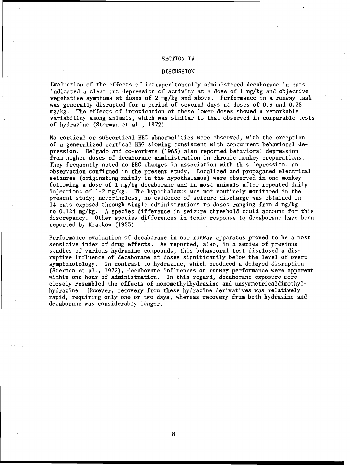#### SECTION IV

#### DISCUSSION

Evaluation of the effects of intraperitoneally administered decaborane in cats indicated a clear cut depression of activity at a dose of 1 mg/kg and objective vegetative symptoms at doses of 2 mg/kg and above. Performance in a runway task was generally disrupted for a period of several days at doses of **0.5** and 0.25 mg/kg. The effects of intoxication at these lower doses showed a remarkable variability among animals, which was similar to that observed in comparable tests of hydrazine (Sterman et al., 1972).

No cortical or subcortical EEG abnormalities were observed, with the exception of a generalized cortical EEG slowing consistent with concurrent behavioral depression. Delgado and co-workers (1963) also reported behavioral depression from higher doses of decaborane administration in chronic monkey preparations. They frequently noted no EEG changes in association with this depression, an observation confirmed in the present study. Localized and propagated electrical seizures (originating mainly in the hypothalamus) were observed in one monkey following a dose of **1** mg/kg decaborane and in most animals after repeated daily injections of 1-2 mg/kg. The hypothalamus was not routinely monitored in the present study; nevertheless, no evidence of seizure discharge was obtained in 14 cats exposed through single administrations to doses ranging from 4 mg/kg to 0.124 mg/kg. A species difference in seizure threshold could account for this discrepancy. Other species differences in toxic response to decaborane have been reported by Krackow (1953).

Performance evaluation of decaborane in our runway apparatus proved to be a most sensitive index of drug effects. As reported, also, in a series of previous studies of various hydrazine compounds, this behavioral test disclosed a disruptive influence of decaborane at doses significantly below the level of overt symptomotology. In contrast to hydrazine, which produced a delayed disruption (Sterman et al., 1972), decaborane influences on runway performance were apparent within one hour of administration. In this regard, decaborane exposure more closely resembled the effects of monomethylhydrazine and unsymmetricaldimethylhydrazine. However, recovery from these hydrazine derivatives was relatively rapid, requiring only one or two days, whereas recovery from both hydrazine and decaborane was considerably longer.